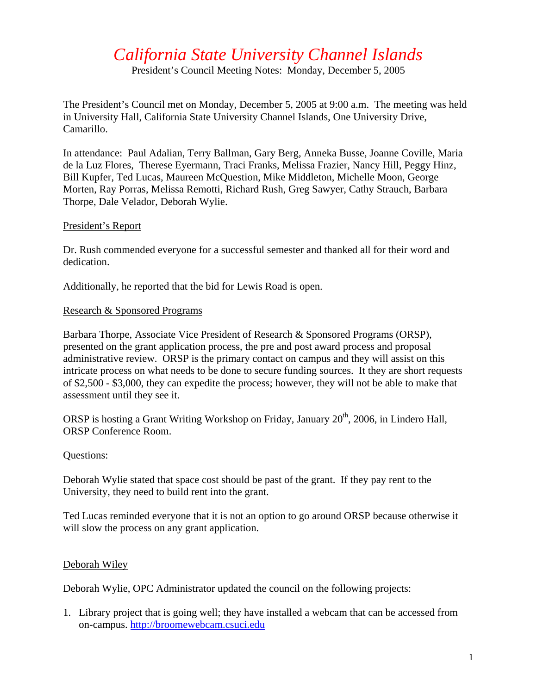# *California State University Channel Islands*

President's Council Meeting Notes: Monday, December 5, 2005

The President's Council met on Monday, December 5, 2005 at 9:00 a.m. The meeting was held in University Hall, California State University Channel Islands, One University Drive, Camarillo.

In attendance: Paul Adalian, Terry Ballman, Gary Berg, Anneka Busse, Joanne Coville, Maria de la Luz Flores, Therese Eyermann, Traci Franks, Melissa Frazier, Nancy Hill, Peggy Hinz, Bill Kupfer, Ted Lucas, Maureen McQuestion, Mike Middleton, Michelle Moon, George Morten, Ray Porras, Melissa Remotti, Richard Rush, Greg Sawyer, Cathy Strauch, Barbara Thorpe, Dale Velador, Deborah Wylie.

#### President's Report

Dr. Rush commended everyone for a successful semester and thanked all for their word and dedication.

Additionally, he reported that the bid for Lewis Road is open.

#### Research & Sponsored Programs

Barbara Thorpe, Associate Vice President of Research & Sponsored Programs (ORSP), presented on the grant application process, the pre and post award process and proposal administrative review. ORSP is the primary contact on campus and they will assist on this intricate process on what needs to be done to secure funding sources. It they are short requests of \$2,500 - \$3,000, they can expedite the process; however, they will not be able to make that assessment until they see it.

ORSP is hosting a Grant Writing Workshop on Friday, January  $20<sup>th</sup>$ , 2006, in Lindero Hall, ORSP Conference Room.

#### Questions:

Deborah Wylie stated that space cost should be past of the grant. If they pay rent to the University, they need to build rent into the grant.

Ted Lucas reminded everyone that it is not an option to go around ORSP because otherwise it will slow the process on any grant application.

#### Deborah Wiley

Deborah Wylie, OPC Administrator updated the council on the following projects:

1. Library project that is going well; they have installed a webcam that can be accessed from on-campus. [http://broomewebcam.csuci.edu](http://broomewebcam.csuci.edu/)